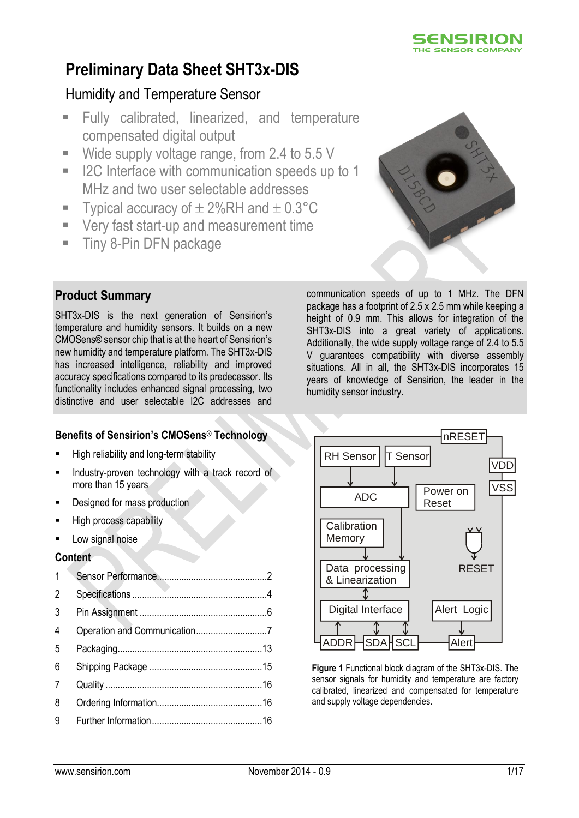

# **Preliminary Data Sheet SHT3x-DIS**

# Humidity and Temperature Sensor

- Fully calibrated, linearized, and temperature compensated digital output
- Wide supply voltage range, from 2.4 to 5.5 V
- I2C Interface with communication speeds up to 1 MHz and two user selectable addresses
- Typical accuracy of  $\pm 2\%$ RH and  $\pm 0.3^{\circ}$ C
- Very fast start-up and measurement time
- **Tiny 8-Pin DFN package**



# **Product Summary**

SHT3x-DIS is the next generation of Sensirion's temperature and humidity sensors. It builds on a new CMOSens® sensor chip that is at the heart of Sensirion's new humidity and temperature platform. The SHT3x-DIS has increased intelligence, reliability and improved accuracy specifications compared to its predecessor. Its functionality includes enhanced signal processing, two distinctive and user selectable I2C addresses and

## **Benefits of Sensirion's CMOSens® Technology**

- **High reliability and long-term stability**
- Industry-proven technology with a track record of more than 15 years
- Designed for mass production
- High process capability
- Low signal noise

#### **Content**

| $\mathbf{1}$   |  |
|----------------|--|
| 2              |  |
| 3              |  |
| $\overline{4}$ |  |
| 5              |  |
| 6              |  |
| 7              |  |
| 8              |  |
| 9              |  |

communication speeds of up to 1 MHz. The DFN package has a footprint of 2.5 x 2.5 mm while keeping a height of 0.9 mm. This allows for integration of the SHT3x-DIS into a great variety of applications. Additionally, the wide supply voltage range of 2.4 to 5.5 V guarantees compatibility with diverse assembly situations. All in all, the SHT3x-DIS incorporates 15 years of knowledge of Sensirion, the leader in the humidity sensor industry.



**Figure 1** Functional block diagram of the SHT3x-DIS. The sensor signals for humidity and temperature are factory calibrated, linearized and compensated for temperature and supply voltage dependencies.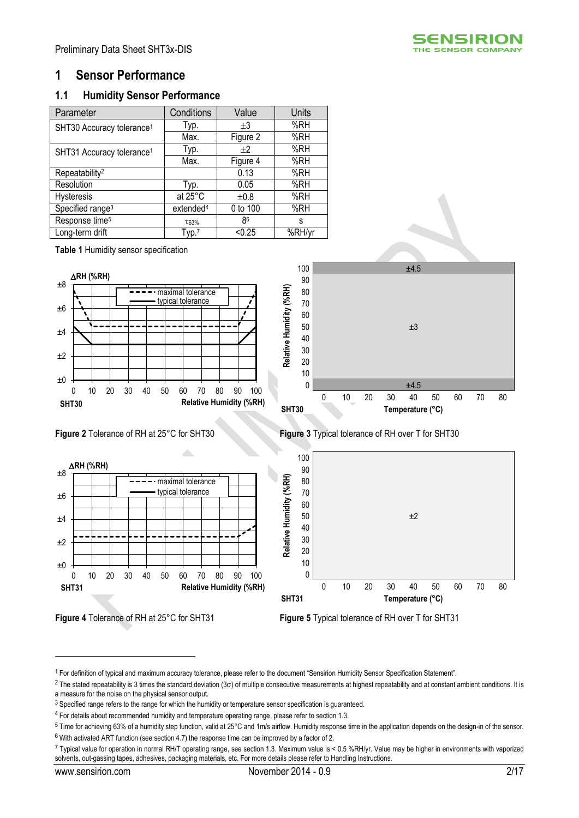

## <span id="page-1-0"></span>**1 Sensor Performance**

#### **1.1 Humidity Sensor Performance**

<span id="page-1-4"></span><span id="page-1-1"></span>

| Parameter                             | Conditions            | Value    | <b>Units</b> |
|---------------------------------------|-----------------------|----------|--------------|
| SHT30 Accuracy tolerance <sup>1</sup> | Typ.                  | $+3$     | %RH          |
|                                       | Max.                  | Figure 2 | %RH          |
| SHT31 Accuracy tolerance <sup>1</sup> | Typ.                  | $+2$     | %RH          |
|                                       | Max.                  | Figure 4 | %RH          |
| Repeatability <sup>2</sup>            |                       | 0.13     | %RH          |
| Resolution                            | Typ.                  | 0.05     | %RH          |
| <b>Hysteresis</b>                     | at 25°C               | ±0.8     | %RH          |
| Specified range <sup>3</sup>          | extended <sup>4</sup> | 0 to 100 | %RH          |
| Response time <sup>5</sup>            | T63%                  | 86       | s            |
| Long-term drift                       | Type <sup>7</sup>     | < 0.25   | %RH/yr       |

**Table 1** Humidity sensor specification











<span id="page-1-2"></span>**Figure 2** Tolerance of RH at 25°C for SHT30 **Figure 3** Typical tolerance of RH over T for SHT30



<span id="page-1-3"></span>**Figure 4** Tolerance of RH at 25°C for SHT31 **Figure 5** Typical tolerance of RH over T for SHT31

<u>.</u>

<sup>1</sup> For definition of typical and maximum accuracy tolerance, please refer to the document "Sensirion Humidity Sensor Specification Statement".

<sup>&</sup>lt;sup>2</sup> The stated repeatability is 3 times the standard deviation (3σ) of multiple consecutive measurements at highest repeatability and at constant ambient conditions. It is a measure for the noise on the physical sensor output.

<sup>&</sup>lt;sup>3</sup> Specified range refers to the range for which the humidity or temperature sensor specification is guaranteed.

<sup>4</sup> For details about recommended humidity and temperature operating range, please refer to section [1.3.](#page-2-0)

<sup>5</sup> Time for achieving 63% of a humidity step function, valid at 25°C and 1m/s airflow. Humidity response time in the application depends on the design-in of the sensor.  $6$  With activated ART function (see sectio[n 4.7\)](#page-8-0) the response time can be improved by a factor of 2.

<sup>7</sup> Typical value for operation in normal RH/T operating range, see sectio[n 1.3.](#page-2-0) Maximum value is < 0.5 %RH/yr. Value may be higher in environments with vaporized solvents, out-gassing tapes, adhesives, packaging materials, etc. For more details please refer to Handling Instructions.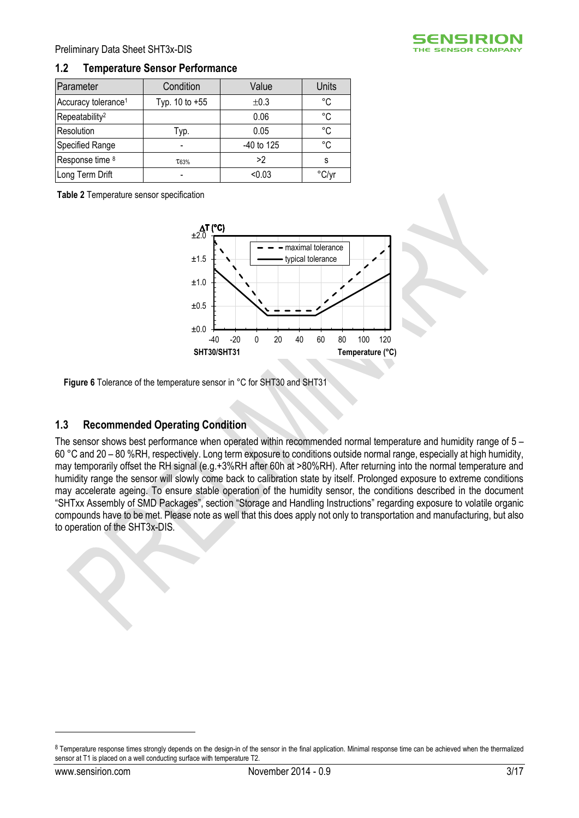

| Parameter                       | Condition      | Value      | <b>Units</b> |
|---------------------------------|----------------|------------|--------------|
| Accuracy tolerance <sup>1</sup> | Typ. 10 to +55 | ±0.3       | °C           |
| Repeatability <sup>2</sup>      |                | 0.06       | °C           |
| Resolution                      | Typ.           | 0.05       | °C           |
| Specified Range                 |                | -40 to 125 | °C           |
| Response time 8                 | T63%           | >2         | S            |
| Long Term Drift                 |                | < 0.03     | °C/yr        |

**Table 2** Temperature sensor specification



**Figure 6** Tolerance of the temperature sensor in °C for SHT30 and SHT31

#### <span id="page-2-0"></span>**1.3 Recommended Operating Condition**

The sensor shows best performance when operated within recommended normal temperature and humidity range of 5 – 60 °C and 20 – 80 %RH, respectively. Long term exposure to conditions outside normal range, especially at high humidity, may temporarily offset the RH signal (e.g.+3%RH after 60h at >80%RH). After returning into the normal temperature and humidity range the sensor will slowly come back to calibration state by itself. Prolonged exposure to extreme conditions may accelerate ageing. To ensure stable operation of the humidity sensor, the conditions described in the document "SHTxx Assembly of SMD Packages", section "Storage and Handling Instructions" regarding exposure to volatile organic compounds have to be met. Please note as well that this does apply not only to transportation and manufacturing, but also to operation of the SHT3x-DIS.

<u>.</u>



<sup>8</sup> Temperature response times strongly depends on the design-in of the sensor in the final application. Minimal response time can be achieved when the thermalized sensor at T1 is placed on a well conducting surface with temperature T2.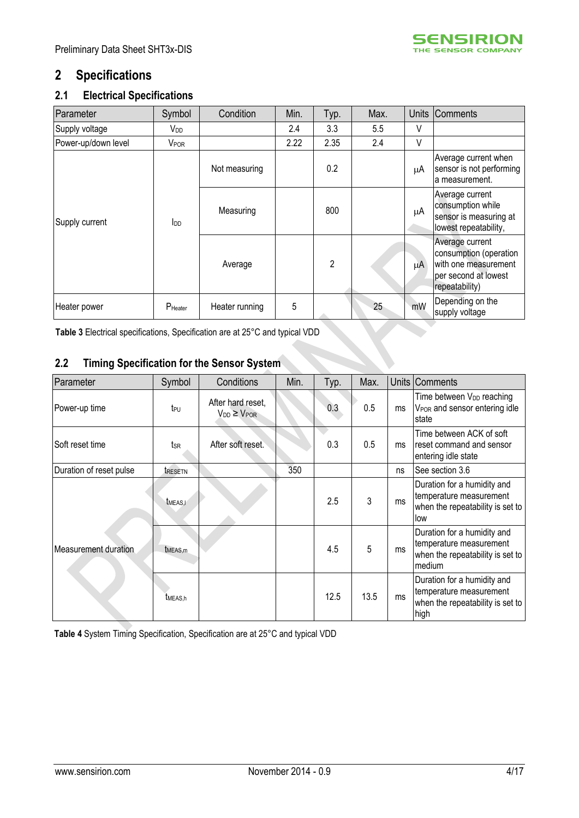

# <span id="page-3-0"></span>**2 Specifications**

## **2.1 Electrical Specifications**

| Parameter           | Symbol                  | Condition      | Min. | Typ.           | Max. | <b>Units</b> | <b>Comments</b>                                                                                             |
|---------------------|-------------------------|----------------|------|----------------|------|--------------|-------------------------------------------------------------------------------------------------------------|
| Supply voltage      | V <sub>DD</sub>         |                | 2.4  | 3.3            | 5.5  | V            |                                                                                                             |
| Power-up/down level | <b>V</b> <sub>POR</sub> |                | 2.22 | 2.35           | 2.4  | V            |                                                                                                             |
|                     |                         | Not measuring  |      | 0.2            |      | μA           | Average current when<br>sensor is not performing<br>a measurement.                                          |
| Supply current      | $I_{DD}$                | Measuring      |      | 800            |      | μA           | Average current<br>consumption while<br>sensor is measuring at<br>lowest repeatability,                     |
|                     |                         | Average        |      | $\overline{2}$ |      | μA           | Average current<br>consumption (operation<br>with one measurement<br>per second at lowest<br>repeatability) |
| Heater power        | P <sub>Heater</sub>     | Heater running | 5    |                | 25   | mW           | Depending on the<br>supply voltage                                                                          |

<span id="page-3-1"></span>**Table 3** Electrical specifications, Specification are at 25°C and typical VDD

# <span id="page-3-2"></span>**2.2 Timing Specification for the Sensor System**

| Parameter                   | Symbol                | Conditions                                 | Min. | Typ. | Max. |    | Units Comments                                                                                       |
|-----------------------------|-----------------------|--------------------------------------------|------|------|------|----|------------------------------------------------------------------------------------------------------|
| Power-up time               | teu                   | After hard reset,<br>$V_{DD} \geq V_{POR}$ |      | 0.3  | 0.5  | ms | Time between V <sub>DD</sub> reaching<br>V <sub>POR</sub> and sensor entering idle<br>state          |
| Soft reset time             | tsr                   | After soft reset.                          |      | 0.3  | 0.5  | ms | Time between ACK of soft<br>reset command and sensor<br>entering idle state                          |
| Duration of reset pulse     | tresetn               |                                            | 350  |      |      | ns | See section 3.6                                                                                      |
|                             | <b><i>IMEAS,I</i></b> |                                            |      | 2.5  | 3    | ms | Duration for a humidity and<br>temperature measurement<br>when the repeatability is set to<br>llow   |
| <b>Measurement duration</b> | t <sub>MEAS,m</sub>   |                                            |      | 4.5  | 5    | ms | Duration for a humidity and<br>temperature measurement<br>when the repeatability is set to<br>medium |
|                             | t <sub>MEAS.h</sub>   |                                            |      | 12.5 | 13.5 | ms | Duration for a humidity and<br>temperature measurement<br>when the repeatability is set to<br>high   |

**Table 4** System Timing Specification, Specification are at 25°C and typical VDD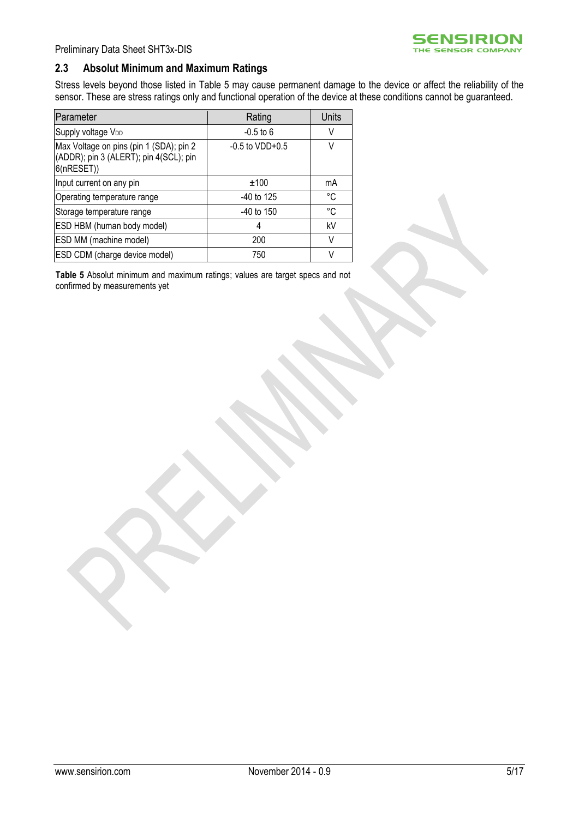

#### **2.3 Absolut Minimum and Maximum Ratings**

Stress levels beyond those listed in [Table 5](#page-4-0) may cause permanent damage to the device or affect the reliability of the sensor. These are stress ratings only and functional operation of the device at these conditions cannot be guaranteed.

| Parameter                                                                                      | Rating               | Units       |
|------------------------------------------------------------------------------------------------|----------------------|-------------|
| Supply voltage V <sub>DD</sub>                                                                 | $-0.5$ to 6          | V           |
| Max Voltage on pins (pin 1 (SDA); pin 2<br>(ADDR); pin 3 (ALERT); pin 4(SCL); pin<br>6(nRESET) | $-0.5$ to VDD $+0.5$ | V           |
| Input current on any pin                                                                       | ±100                 | mA          |
| Operating temperature range                                                                    | $-40$ to 125         | °C          |
| Storage temperature range                                                                      | $-40$ to 150         | $^{\circ}C$ |
| ESD HBM (human body model)                                                                     | 4                    | kV          |
| ESD MM (machine model)                                                                         | 200                  | V           |
| ESD CDM (charge device model)                                                                  | 750                  | V           |

<span id="page-4-0"></span>**Table 5** Absolut minimum and maximum ratings; values are target specs and not confirmed by measurements yet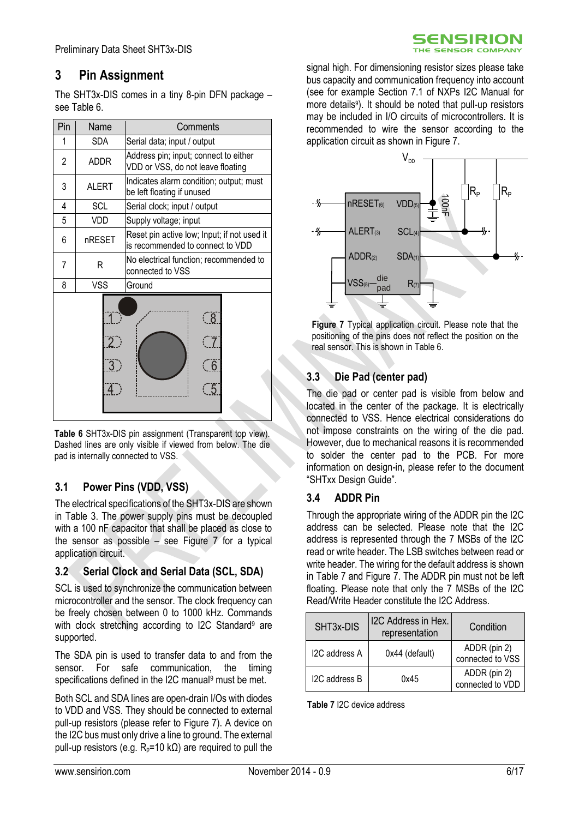# <span id="page-5-0"></span>**3 Pin Assignment**

The SHT3x-DIS comes in a tiny 8-pin DFN package  $$ see [Table 6.](#page-5-1)

| Pin | Name                  | Comments                                                                        |  |
|-----|-----------------------|---------------------------------------------------------------------------------|--|
| 1   | <b>SDA</b>            | Serial data; input / output                                                     |  |
| 2   | <b>ADDR</b>           | Address pin; input; connect to either<br>VDD or VSS, do not leave floating      |  |
| 3   | <b>ALERT</b>          | Indicates alarm condition; output; must<br>be left floating if unused           |  |
| 4   | <b>SCL</b>            | Serial clock; input / output                                                    |  |
| 5   | VDD                   | Supply voltage; input                                                           |  |
| 6   | nRESET                | Reset pin active low; Input; if not used it<br>is recommended to connect to VDD |  |
| 7   | R                     | No electrical function; recommended to<br>connected to VSS                      |  |
| 8   | <b>VSS</b>            | Ground                                                                          |  |
|     | $\overline{2}$ )<br>3 | $\sqrt{8}$<br>် 6<br>$\overline{5}$                                             |  |

<span id="page-5-1"></span>**Table 6** SHT3x-DIS pin assignment (Transparent top view). Dashed lines are only visible if viewed from below. The die pad is internally connected to VSS.

## **3.1 Power Pins (VDD, VSS)**

The electrical specifications of the SHT3x-DIS are shown in [Table 3.](#page-3-1) The power supply pins must be decoupled with a 100 nF capacitor that shall be placed as close to the sensor as possible – see [Figure 7](#page-5-2) for a typical application circuit.

#### **3.2 Serial Clock and Serial Data (SCL, SDA)**

SCL is used to synchronize the communication between microcontroller and the sensor. The clock frequency can be freely chosen between 0 to 1000 kHz. Commands with clock stretching according to I2C Standard<sup>[9](#page-6-2)</sup> are supported.

The SDA pin is used to transfer data to and from the sensor. For safe communication, the timing specifications defined in the I2C manu[al](#page-6-2)<sup>9</sup> must be met.

Both SCL and SDA lines are open-drain I/Os with diodes to VDD and VSS. They should be connected to external pull-up resistors (please refer to [Figure 7\)](#page-5-2). A device on the I2C bus must only drive a line to ground. The external pull-up resistors (e.g.  $R_p = 10 \text{ k}\Omega$ ) are required to pull the

signal high. For dimensioning resistor sizes please take bus capacity and communication frequency into account (see for example Section 7.1 of NXPs I2C Manual for more detail[s](#page-6-2)<sup>9</sup>). It should be noted that pull-up resistors may be included in I/O circuits of microcontrollers. It is recommended to wire the sensor according to the application circuit as shown in [Figure 7.](#page-5-2)

**SENSIRION** THE SENSOR COMPANY



<span id="page-5-2"></span>**Figure 7** Typical application circuit. Please note that the positioning of the pins does not reflect the position on the real sensor. This is shown i[n Table 6.](#page-5-1)

## **3.3 Die Pad (center pad)**

The die pad or center pad is visible from below and located in the center of the package. It is electrically connected to VSS. Hence electrical considerations do not impose constraints on the wiring of the die pad. However, due to mechanical reasons it is recommended to solder the center pad to the PCB. For more information on design-in, please refer to the document "SHTxx Design Guide".

#### **3.4 ADDR Pin**

Through the appropriate wiring of the ADDR pin the I2C address can be selected. Please note that the I2C address is represented through the 7 MSBs of the I2C read or write header. The LSB switches between read or write header. The wiring for the default address is shown in [Table 7](#page-5-3) and [Figure 7.](#page-5-2) The ADDR pin must not be left floating. Please note that only the 7 MSBs of the I2C Read/Write Header constitute the I2C Address.

| SHT <sub>3x</sub> -DIS | I2C Address in Hex.<br>representation | Condition                        |
|------------------------|---------------------------------------|----------------------------------|
| I2C address A          | 0x44 (default)                        | ADDR (pin 2)<br>connected to VSS |
| I2C address B          | 0x45                                  | ADDR (pin 2)<br>connected to VDD |

<span id="page-5-3"></span>**Table 7** I2C device address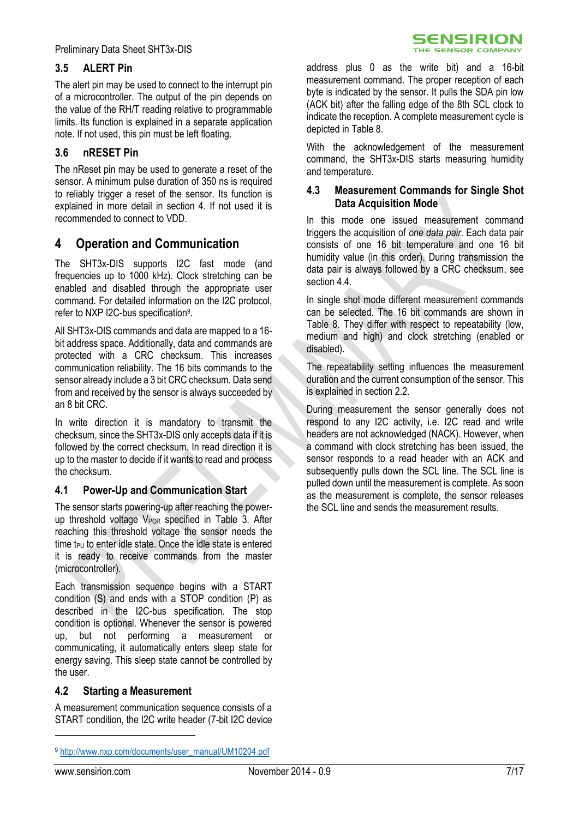#### **3.5 ALERT Pin**

The alert pin may be used to connect to the interrupt pin of a microcontroller. The output of the pin depends on the value of the RH/T reading relative to programmable limits. Its function is explained in a separate application note. If not used, this pin must be left floating.

#### <span id="page-6-1"></span>**3.6 nRESET Pin**

The nReset pin may be used to generate a reset of the sensor. A minimum pulse duration of 350 ns is required to reliably trigger a reset of the sensor. Its function is explained in more detail in section [4.](#page-6-0) If not used it is recommended to connect to VDD.

## <span id="page-6-0"></span>**4 Operation and Communication**

The SHT3x-DIS supports I2C fast mode (and frequencies up to 1000 kHz). Clock stretching can be enabled and disabled through the appropriate user command. For detailed information on the I2C protocol, refer to NXP I2C-bus specification<sup>9</sup> .

All SHT3x-DIS commands and data are mapped to a 16 bit address space. Additionally, data and commands are protected with a CRC checksum. This increases communication reliability. The 16 bits commands to the sensor already include a 3 bit CRC checksum. Data send from and received by the sensor is always succeeded by an 8 bit CRC.

In write direction it is mandatory to transmit the checksum, since the SHT3x-DIS only accepts data if it is followed by the correct checksum. In read direction it is up to the master to decide if it wants to read and process the checksum.

#### **4.1 Power-Up and Communication Start**

The sensor starts powering-up after reaching the powerup threshold voltage  $V_{POR}$  specified in [Table 3.](#page-3-1) After reaching this threshold voltage the sensor needs the time  $t_{PU}$  to enter idle state. Once the idle state is entered it is ready to receive commands from the master (microcontroller).

Each transmission sequence begins with a START condition (S) and ends with a STOP condition (P) as described in the I2C-bus specification. The stop condition is optional. Whenever the sensor is powered up, but not performing a measurement or communicating, it automatically enters sleep state for energy saving. This sleep state cannot be controlled by the user.

#### **4.2 Starting a Measurement**

A measurement communication sequence consists of a START condition, the I2C write header (7-bit I2C device

address plus 0 as the write bit) and a 16-bit measurement command. The proper reception of each byte is indicated by the sensor. It pulls the SDA pin low (ACK bit) after the falling edge of the 8th SCL clock to indicate the reception. A complete measurement cycle is depicted in [Table 8.](#page-7-0)

With the acknowledgement of the measurement command, the SHT3x-DIS starts measuring humidity and temperature.

#### **4.3 Measurement Commands for Single Shot Data Acquisition Mode**

In this mode one issued measurement command triggers the acquisition of *one data pair*. Each data pair consists of one 16 bit temperature and one 16 bit humidity value (in this order). During transmission the data pair is always followed by a CRC checksum, see section 4.4

<span id="page-6-2"></span>In single shot mode different measurement commands can be selected. The 16 bit commands are shown in [Table 8.](#page-7-0) They differ with respect to repeatability (low, medium and high) and clock stretching (enabled or disabled).

The repeatability setting influences the measurement duration and the current consumption of the sensor. This is explained in section [2.2.](#page-3-2)

During measurement the sensor generally does not respond to any I2C activity, i.e. I2C read and write headers are not acknowledged (NACK). However, when a command with clock stretching has been issued, the sensor responds to a read header with an ACK and subsequently pulls down the SCL line. The SCL line is pulled down until the measurement is complete. As soon as the measurement is complete, the sensor releases the SCL line and sends the measurement results.

-

<sup>9</sup> [http://www.nxp.com/documents/user\\_manual/UM10204.pdf](http://www.nxp.com/documents/user_manual/UM10204.pdf)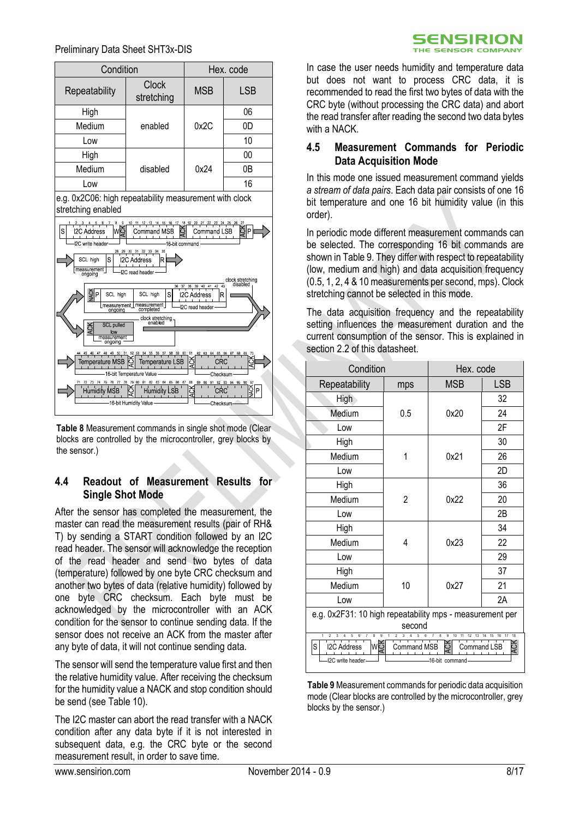#### Preliminary Data Sheet SHT3x-DIS

| Condition     | Hex. code           |            |            |
|---------------|---------------------|------------|------------|
| Repeatability | Clock<br>stretching | <b>MSB</b> | <b>LSB</b> |
| High          | enabled             | 0x2C       | 06         |
| Medium        |                     |            | 0D         |
| Low           |                     |            | 10         |
| High          | disabled            |            | 00         |
| Medium        |                     | 0x24       | 0Β         |
| _OW           |                     |            | 16         |

e.g. 0x2C06: high repeatability measurement with clock stretching enabled



<span id="page-7-0"></span>**Table 8** Measurement commands in single shot mode (Clear blocks are controlled by the microcontroller, grey blocks by the sensor.)

#### <span id="page-7-1"></span>**4.4 Readout of Measurement Results for Single Shot Mode**

After the sensor has completed the measurement, the master can read the measurement results (pair of RH& T) by sending a START condition followed by an I2C read header. The sensor will acknowledge the reception of the read header and send two bytes of data (temperature) followed by one byte CRC checksum and another two bytes of data (relative humidity) followed by one byte CRC checksum. Each byte must be acknowledged by the microcontroller with an ACK condition for the sensor to continue sending data. If the sensor does not receive an ACK from the master after any byte of data, it will not continue sending data.

The sensor will send the temperature value first and then the relative humidity value. After receiving the checksum for the humidity value a NACK and stop condition should be send (see [Table 10\)](#page-8-1).

The I2C master can abort the read transfer with a NACK condition after any data byte if it is not interested in subsequent data, e.g. the CRC byte or the second measurement result, in order to save time.

CRC byte (without processing the CRC data) and abort the read transfer after reading the second two data bytes with a NACK. **4.5 Measurement Commands for Periodic Data Acquisition Mode**

> <span id="page-7-3"></span>In this mode one issued measurement command yields *a stream of data pairs*. Each data pair consists of one 16 bit temperature and one 16 bit humidity value (in this order).

> In case the user needs humidity and temperature data but does not want to process CRC data, it is recommended to read the first two bytes of data with the

SENSIRION THE SENSOR COMPANY

In periodic mode different measurement commands can be selected. The corresponding 16 bit commands are shown in [Table 9.](#page-7-2) They differ with respect to repeatability (low, medium and high) and data acquisition frequency (0.5, 1, 2, 4 & 10 measurements per second, mps). Clock stretching cannot be selected in this mode.

The data acquisition frequency and the repeatability setting influences the measurement duration and the current consumption of the sensor. This is explained in section [2.2](#page-3-2) of this datasheet.

| Condition                                                                                                                                                                                                      |     | Hex. code  |            |  |  |
|----------------------------------------------------------------------------------------------------------------------------------------------------------------------------------------------------------------|-----|------------|------------|--|--|
| Repeatability                                                                                                                                                                                                  | mps | <b>MSB</b> | <b>LSB</b> |  |  |
| High                                                                                                                                                                                                           |     |            | 32         |  |  |
| Medium                                                                                                                                                                                                         | 0.5 | 0x20       | 24         |  |  |
| Low                                                                                                                                                                                                            |     |            | 2F         |  |  |
| High                                                                                                                                                                                                           |     |            | 30         |  |  |
| Medium                                                                                                                                                                                                         |     | 0x21       | 26         |  |  |
| Low                                                                                                                                                                                                            |     |            | 2D         |  |  |
| High                                                                                                                                                                                                           |     |            | 36         |  |  |
| Medium                                                                                                                                                                                                         | 2   | 0x22       | 20         |  |  |
| Low                                                                                                                                                                                                            |     |            | 2B         |  |  |
| High                                                                                                                                                                                                           |     |            | 34         |  |  |
| Medium                                                                                                                                                                                                         | 4   | 0x23       | 22         |  |  |
| Low                                                                                                                                                                                                            |     |            | 29         |  |  |
| High                                                                                                                                                                                                           |     |            | 37         |  |  |
| Medium                                                                                                                                                                                                         | 10  | 0x27       | 21         |  |  |
| Low                                                                                                                                                                                                            |     |            | 2A         |  |  |
| e.g. 0x2F31: 10 high repeatability mps - measurement per                                                                                                                                                       |     |            |            |  |  |
| second<br>q                                                                                                                                                                                                    |     |            |            |  |  |
| 8<br>8<br>9<br>18<br>$\mathfrak{p}$<br>6<br>$\mathfrak{p}$<br>3<br>10<br>11<br>15<br>16<br>wģ<br>Ğ<br>S<br><b>I2C Address</b><br>Ò<br><b>Command MSB</b><br>Command LSB<br>I2C write header<br>-16-bit command |     |            |            |  |  |

<span id="page-7-2"></span>**Table 9** Measurement commands for periodic data acquisition mode (Clear blocks are controlled by the microcontroller, grey blocks by the sensor.)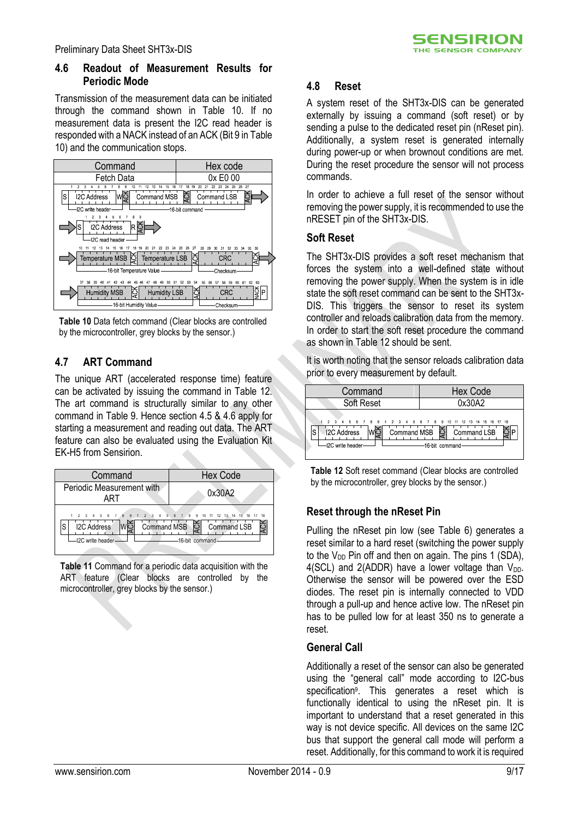#### <span id="page-8-3"></span>**4.6 Readout of Measurement Results for Periodic Mode**

Transmission of the measurement data can be initiated through the command shown in [Table 10.](#page-8-1) If no measurement data is present the I2C read header is responded with a NACK instead of an ACK (Bit 9 i[n Table](#page-8-1)  [10\)](#page-8-1) and the communication stops.



<span id="page-8-1"></span>**Table 10** Data fetch command (Clear blocks are controlled by the microcontroller, grey blocks by the sensor.)

#### <span id="page-8-0"></span>**4.7 ART Command**

The unique ART (accelerated response time) feature can be activated by issuing the command in [Table 12.](#page-8-2) The art command is structurally similar to any other command in [Table 9.](#page-7-2) Hence section [4.5](#page-7-3) & [4.6](#page-8-3) apply for starting a measurement and reading out data. The ART feature can also be evaluated using the Evaluation Kit EK-H5 from Sensirion.



**Table 11** Command for a periodic data acquisition with the ART feature (Clear blocks are controlled by the microcontroller, grey blocks by the sensor.)

#### **4.8 Reset**

A system reset of the SHT3x-DIS can be generated externally by issuing a command (soft reset) or by sending a pulse to the dedicated reset pin (nReset pin). Additionally, a system reset is generated internally during power-up or when brownout conditions are met. During the reset procedure the sensor will not process commands.

**SENSIRION** THE SENSOR COMPANY

In order to achieve a full reset of the sensor without removing the power supply, it is recommended to use the nRESET pin of the SHT3x-DIS.

#### **Soft Reset**

The SHT3x-DIS provides a soft reset mechanism that forces the system into a well-defined state without removing the power supply. When the system is in idle state the soft reset command can be sent to the SHT3x-DIS. This triggers the sensor to reset its system controller and reloads calibration data from the memory. In order to start the soft reset procedure the command as shown i[n Table 12](#page-8-2) should be sent.

It is worth noting that the sensor reloads calibration data prior to every measurement by default.

| Command                                            | <b>Hex Code</b>                                                                                       |
|----------------------------------------------------|-------------------------------------------------------------------------------------------------------|
| Soft Reset                                         | 0x30A2                                                                                                |
| $A = 5$<br><b>I2C Address</b><br>-I2C write header | 6 7 8 9 1 2 3 4 5 6 7 8 9 10 11 12 13 14 15 16 17 18<br>Command MSB S Command LSB<br>-16-bit command- |

<span id="page-8-2"></span>**Table 12** Soft reset command (Clear blocks are controlled by the microcontroller, grey blocks by the sensor.)

## **Reset through the nReset Pin**

Pulling the nReset pin low (see [Table 6\)](#page-5-1) generates a reset similar to a hard reset (switching the power supply to the  $V_{DD}$  Pin off and then on again. The pins 1 (SDA), 4(SCL) and 2(ADDR) have a lower voltage than  $V_{DD}$ . Otherwise the sensor will be powered over the ESD diodes. The reset pin is internally connected to VDD through a pull-up and hence active low. The nReset pin has to be pulled low for at least 350 ns to generate a reset.

#### **General Call**

Additionally a reset of the sensor can also be generated using the "general call" mode according to I2C-bus specificatio[n](#page-6-2)<sup>9</sup> . This generates a reset which is functionally identical to using the nReset pin. It is important to understand that a reset generated in this way is not device specific. All devices on the same I2C bus that support the general call mode will perform a reset. Additionally, for this command to work it is required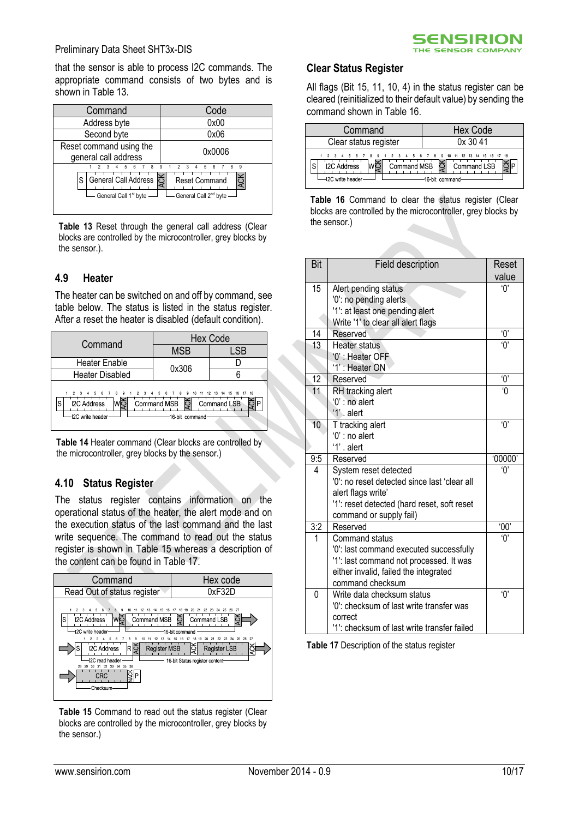that the sensor is able to process I2C commands. The appropriate command consists of two bytes and is shown in [Table 13.](#page-9-0)

| Command                                                                      | Code                                                             |
|------------------------------------------------------------------------------|------------------------------------------------------------------|
| Address byte                                                                 | 0x00                                                             |
| Second byte                                                                  | 0x06                                                             |
| Reset command using the<br>general call address                              | 0x0006                                                           |
| 89<br>-5<br>General Call Address 5<br>S<br>General Call 1 <sup>st</sup> byte | 9<br><b>Reset Command</b><br>General Call 2 <sup>nd</sup> byte - |

<span id="page-9-0"></span>**Table 13** Reset through the general call address (Clear blocks are controlled by the microcontroller, grey blocks by the sensor.).

#### **4.9 Heater**

The heater can be switched on and off by command, see table below. The status is listed in the status register. After a reset the heater is disabled (default condition).

| Command                                                                                 | <b>Hex Code</b>                                  |                            |  |  |
|-----------------------------------------------------------------------------------------|--------------------------------------------------|----------------------------|--|--|
|                                                                                         | <b>MSB</b>                                       | LSB                        |  |  |
| <b>Heater Enable</b>                                                                    | 0x306                                            |                            |  |  |
| Heater Disabled                                                                         |                                                  |                            |  |  |
| 2 3 4 5 6 7 8 9 1 2 3 4 5 6 7 8 9 10 11<br><b>I2C Address</b><br>S<br>I2C write header- | Command MSB $\Xi$ Command LSB<br>-16-bit command | 12  13  14  15  16  17  18 |  |  |

**Table 14** Heater command (Clear blocks are controlled by the microcontroller, grey blocks by the sensor.)

#### **4.10 Status Register**

The status register contains information on the operational status of the heater, the alert mode and on the execution status of the last command and the last write sequence. The command to read out the status register is shown in [Table 15](#page-9-1) whereas a description of the content can be found in [Table 17.](#page-9-2)



<span id="page-9-1"></span>**Table 15** Command to read out the status register (Clear blocks are controlled by the microcontroller, grey blocks by the sensor.)



#### **Clear Status Register**

All flags (Bit 15, 11, 10, 4) in the status register can be cleared (reinitialized to their default value) by sending the command shown i[n Table 16.](#page-9-3)

| Command                                                                                                   | Hex Code                                      |
|-----------------------------------------------------------------------------------------------------------|-----------------------------------------------|
| Clear status register                                                                                     | 0x3041                                        |
| 1 2 3 4 5 6 7 8 9 1 2 3 4 5 6 7 8 9 10 11 12 13 14 15 16 17 18<br><b>I2C Address</b><br>-I2C write header | Command MSB S Command LSB<br>-16 bit command- |

<span id="page-9-3"></span>Table 16 Command to clear the status register (Clear blocks are controlled by the microcontroller, grey blocks by the sensor.)

| Bit             | Field description                            | Reset          |
|-----------------|----------------------------------------------|----------------|
|                 |                                              | value          |
| 15              | Alert pending status                         | 'በ'            |
|                 | '0': no pending alerts                       |                |
|                 | '1': at least one pending alert              |                |
|                 | Write '1' to clear all alert flags           |                |
| 14              | Reserved                                     | Ό,             |
| $\overline{13}$ | Heater status                                | $\overline{0}$ |
|                 | '0' : Heater OFF                             |                |
|                 | '1': Heater ON                               |                |
| $\overline{12}$ | Reserved                                     | $\overline{0}$ |
| 11              | RH tracking alert                            | 'N             |
|                 | $0$ ': no alert                              |                |
|                 | '1'. alert                                   |                |
| $\overline{10}$ | T tracking alert                             | ʹΟ'            |
|                 | '0' : no alert<br>'1' . alert                |                |
|                 |                                              |                |
| 9:5<br>4        | Reserved<br>System reset detected            | '00000<br>Ό,   |
|                 | '0': no reset detected since last 'clear all |                |
|                 | alert flags write'                           |                |
|                 | '1': reset detected (hard reset, soft reset  |                |
|                 | command or supply fail)                      |                |
| 3:2             | Reserved                                     | 00'            |
| 1               | Command status                               | '0'            |
|                 | '0': last command executed successfully      |                |
|                 | '1': last command not processed. It was      |                |
|                 | either invalid, failed the integrated        |                |
|                 | command checksum                             |                |
| 0               | Write data checksum status                   | 'ዐ'            |
|                 | '0': checksum of last write transfer was     |                |
|                 | correct                                      |                |
|                 | '1': checksum of last write transfer failed  |                |

<span id="page-9-2"></span>**Table 17** Description of the status register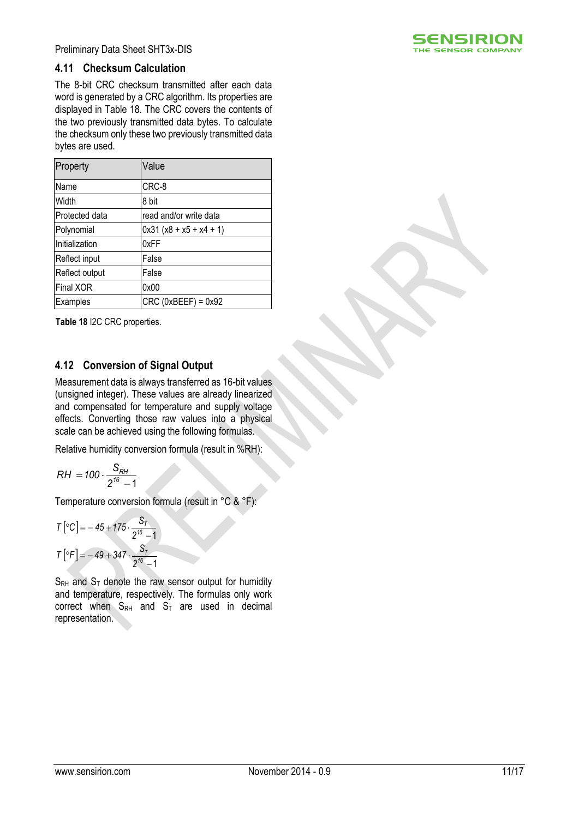

Preliminary Data Sheet SHT3x-DIS

#### **4.11 Checksum Calculation**

The 8-bit CRC checksum transmitted after each data word is generated by a CRC algorithm. Its properties are displayed in [Table 18.](#page-10-0) The CRC covers the contents of the two previously transmitted data bytes. To calculate the checksum only these two previously transmitted data bytes are used.

| Property         | Value                    |
|------------------|--------------------------|
| Name             | CRC-8                    |
| Width            | 8 bit                    |
| Protected data   | read and/or write data   |
| Polynomial       | $0x31(x8 + x5 + x4 + 1)$ |
| Initialization   | 0xFF                     |
| Reflect input    | False                    |
| Reflect output   | False                    |
| <b>Final XOR</b> | 0x00                     |
| Examples         | $CRC$ (0xBEEF) = 0x92    |

<span id="page-10-0"></span>**Table 18** I2C CRC properties.

#### **4.12 Conversion of Signal Output**

Measurement data is always transferred as 16-bit values (unsigned integer). These values are already linearized and compensated for temperature and supply voltage effects. Converting those raw values into a physical scale can be achieved using the following formulas.

Relative humidity conversion formula (result in %RH):

$$
RH = 100 \cdot \frac{S_{RH}}{2^{16} - 1}
$$

Temperature conversion formula (result in °C & °F):

$$
T\left[\text{°C}\right] = -45 + 175 \cdot \frac{S_T}{2^{16} - 1}
$$

$$
T\left[\text{°F}\right] = -49 + 347 \cdot \frac{S_T}{2^{16} - 1}
$$

 $S_{RH}$  and  $S_T$  denote the raw sensor output for humidity and temperature, respectively. The formulas only work correct when  $S_{RH}$  and  $S_T$  are used in decimal representation.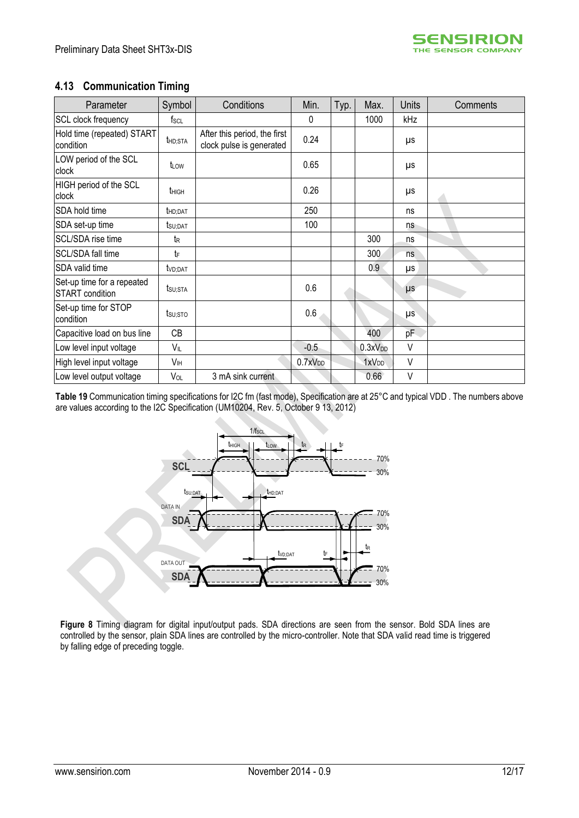#### **4.13 Communication Timing**

| Parameter                                     | Symbol            | Conditions                                               | Min.                | Typ. | Max.                | <b>Units</b> | Comments |
|-----------------------------------------------|-------------------|----------------------------------------------------------|---------------------|------|---------------------|--------------|----------|
| SCL clock frequency                           | $f_{\rm SCL}$     |                                                          | $\mathbf 0$         |      | 1000                | kHz          |          |
| Hold time (repeated) START<br>condition       | thd:Sta           | After this period, the first<br>clock pulse is generated | 0.24                |      |                     | μs           |          |
| LOW period of the SCL<br>clock                | t <sub>LOW</sub>  |                                                          | 0.65                |      |                     | μs           |          |
| HIGH period of the SCL<br>clock               | t <sub>HIGH</sub> |                                                          | 0.26                |      |                     | μs           |          |
| SDA hold time                                 | thd; DAT          |                                                          | 250                 |      |                     | ns           |          |
| SDA set-up time                               | tsu:DAT           |                                                          | 100                 |      |                     | ns           |          |
| SCL/SDA rise time                             | te                |                                                          |                     |      | 300                 | ns           |          |
| SCL/SDA fall time                             | tF                |                                                          |                     |      | 300                 | ns           |          |
| SDA valid time                                | tvd;dat           |                                                          |                     |      | 0.9                 | μs           |          |
| Set-up time for a repeated<br>START condition | tsu;sta           |                                                          | 0.6                 |      |                     | $\mu s$      |          |
| Set-up time for STOP<br>condition             | tsu:sto           |                                                          | 0.6                 |      |                     | μs           |          |
| Capacitive load on bus line                   | CB                |                                                          |                     |      | 400                 | pF           |          |
| Low level input voltage                       | VIL               |                                                          | $-0.5$              |      | 0.3xV <sub>DD</sub> | V            |          |
| High level input voltage                      | V <sub>IH</sub>   |                                                          | 0.7xV <sub>DD</sub> |      | 1xV <sub>DD</sub>   | $\vee$       |          |
| Low level output voltage                      | VOL               | 3 mA sink current                                        |                     |      | 0.66                | V            |          |

**Table 19** Communication timing specifications for I2C fm (fast mode), Specification are at 25°C and typical VDD . The numbers above are values according to the I2C Specification (UM10204, Rev. 5, October 9 13, 2012)



**Figure 8** Timing diagram for digital input/output pads. SDA directions are seen from the sensor. Bold SDA lines are controlled by the sensor, plain SDA lines are controlled by the micro-controller. Note that SDA valid read time is triggered by falling edge of preceding toggle.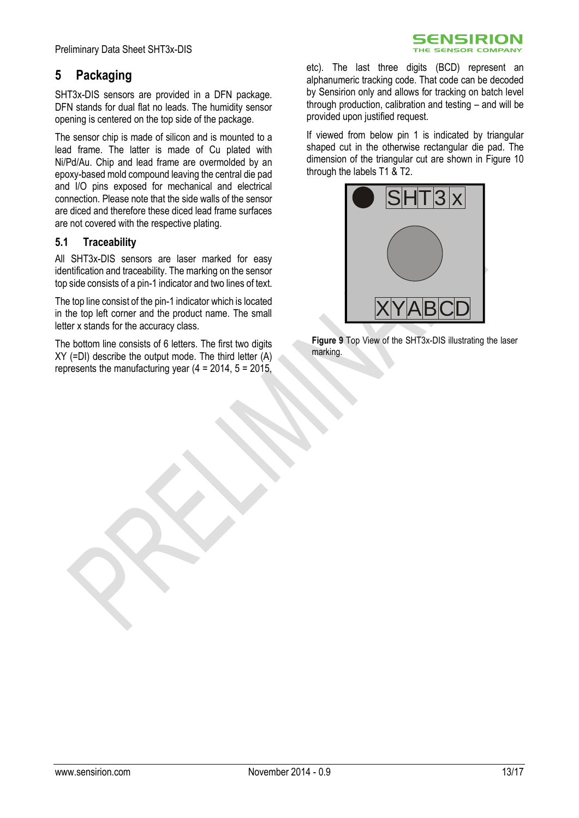# <span id="page-12-0"></span>**5 Packaging**

SHT3x-DIS sensors are provided in a DFN package. DFN stands for dual flat no leads. The humidity sensor opening is centered on the top side of the package.

The sensor chip is made of silicon and is mounted to a lead frame. The latter is made of Cu plated with Ni/Pd/Au. Chip and lead frame are overmolded by an epoxy-based mold compound leaving the central die pad and I/O pins exposed for mechanical and electrical connection. Please note that the side walls of the sensor are diced and therefore these diced lead frame surfaces are not covered with the respective plating.

#### **5.1 Traceability**

All SHT3x-DIS sensors are laser marked for easy identification and traceability. The marking on the sensor top side consists of a pin-1 indicator and two lines of text.

The top line consist of the pin-1 indicator which is located in the top left corner and the product name. The small letter x stands for the accuracy class.

The bottom line consists of 6 letters. The first two digits XY (=DI) describe the output mode. The third letter (A) represents the manufacturing year  $(4 = 2014, 5 = 2015)$ .

etc). The last three digits (BCD) represent an alphanumeric tracking code. That code can be decoded by Sensirion only and allows for tracking on batch level through production, calibration and testing – and will be provided upon justified request.

**SENSIRION** THE SENSOR COMPANY

If viewed from below pin 1 is indicated by triangular shaped cut in the otherwise rectangular die pad. The dimension of the triangular cut are shown in [Figure 10](#page-13-0) through the labels T1 & T2.



**Figure 9** Top View of the SHT3x-DIS illustrating the laser marking.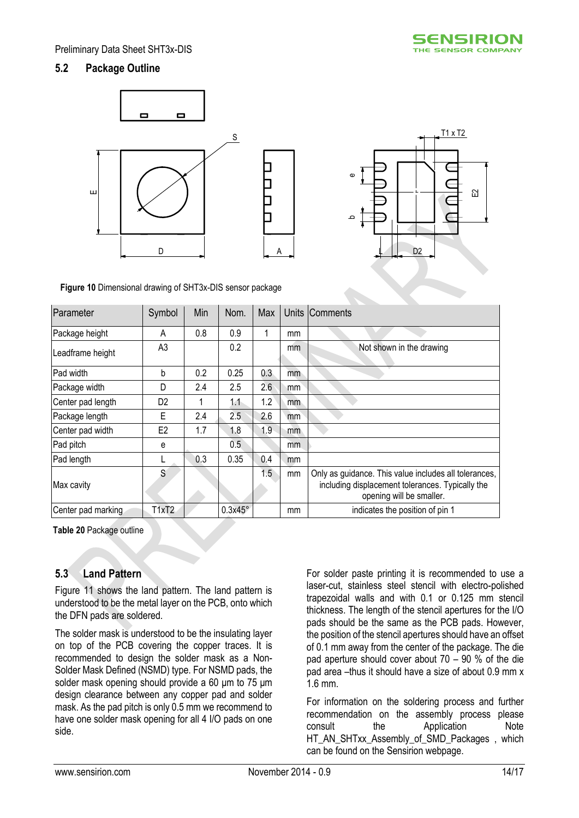#### **5.2 Package Outline**





<span id="page-13-0"></span>**Figure 10** Dimensional drawing of SHT3x-DIS sensor package

| Parameter          | Symbol         | Min | Nom.           | Max |     | Units Comments                                                                                                                        |
|--------------------|----------------|-----|----------------|-----|-----|---------------------------------------------------------------------------------------------------------------------------------------|
| Package height     | A              | 0.8 | 0.9            |     | mm  |                                                                                                                                       |
| Leadframe height   | A <sub>3</sub> |     | 0.2            |     | mm  | Not shown in the drawing                                                                                                              |
| Pad width          | b              | 0.2 | 0.25           | 0.3 | mm  |                                                                                                                                       |
| Package width      | D              | 2.4 | 2.5            | 2.6 | mm  |                                                                                                                                       |
| Center pad length  | D <sub>2</sub> |     | 1.1            | 1.2 | mm  |                                                                                                                                       |
| Package length     | Е              | 2.4 | 2.5            | 2.6 | mm  |                                                                                                                                       |
| Center pad width   | E <sub>2</sub> | 1.7 | 1.8            | 1.9 | mm  |                                                                                                                                       |
| Pad pitch          | е              |     | 0.5            |     | mm. |                                                                                                                                       |
| Pad length         |                | 0.3 | 0.35           | 0.4 | mm  |                                                                                                                                       |
| Max cavity         | S              |     |                | 1.5 | mm  | Only as guidance. This value includes all tolerances,<br>including displacement tolerances. Typically the<br>opening will be smaller. |
| Center pad marking | T1xT2          |     | $0.3x45^\circ$ |     | mm  | indicates the position of pin 1                                                                                                       |

**Table 20** Package outline

#### **5.3 Land Pattern**

[Figure 11](#page-14-1) shows the land pattern. The land pattern is understood to be the metal layer on the PCB, onto which the DFN pads are soldered.

The solder mask is understood to be the insulating layer on top of the PCB covering the copper traces. It is recommended to design the solder mask as a Non-Solder Mask Defined (NSMD) type. For NSMD pads, the solder mask opening should provide a 60 μm to 75 μm design clearance between any copper pad and solder mask. As the pad pitch is only 0.5 mm we recommend to have one solder mask opening for all 4 I/O pads on one side.

For solder paste printing it is recommended to use a laser-cut, stainless steel stencil with electro-polished trapezoidal walls and with 0.1 or 0.125 mm stencil thickness. The length of the stencil apertures for the I/O pads should be the same as the PCB pads. However, the position of the stencil apertures should have an offset of 0.1 mm away from the center of the package. The die pad aperture should cover about 70 – 90 % of the die pad area –thus it should have a size of about 0.9 mm x 1.6 mm.

For information on the soldering process and further recommendation on the assembly process please consult the Application Note HT\_AN\_SHTxx\_Assembly\_of\_SMD\_Packages , which can be found on the Sensirion webpage.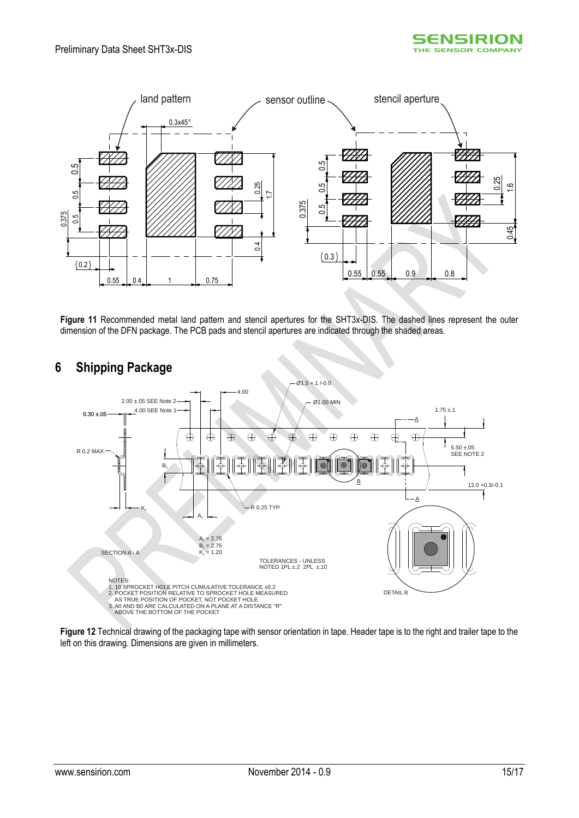



<span id="page-14-1"></span>**Figure 11** Recommended metal land pattern and stencil apertures for the SHT3x-DIS. The dashed lines represent the outer dimension of the DFN package. The PCB pads and stencil apertures are indicated through the shaded areas.



## <span id="page-14-0"></span>**6 Shipping Package**

**Figure 12** Technical drawing of the packaging tape with sensor orientation in tape. Header tape is to the right and trailer tape to the left on this drawing. Dimensions are given in millimeters.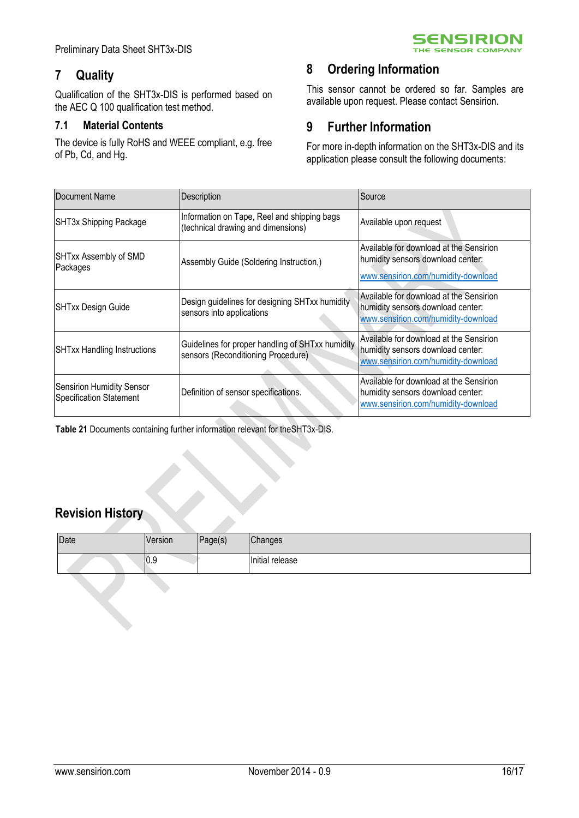# <span id="page-15-0"></span>**7 Quality**

Qualification of the SHT3x-DIS is performed based on the AEC Q 100 qualification test method.

#### **7.1 Material Contents**

The device is fully RoHS and WEEE compliant, e.g. free of Pb, Cd, and Hg.

# <span id="page-15-1"></span>**8 Ordering Information**

This sensor cannot be ordered so far. Samples are available upon request. Please contact Sensirion.

**SENSIRION** THE SENSOR COMPANY

# <span id="page-15-2"></span>**9 Further Information**

For more in-depth information on the SHT3x-DIS and its application please consult the following documents:

| Document Name                                                      | Description                                                                            | Source                                                                                                              |
|--------------------------------------------------------------------|----------------------------------------------------------------------------------------|---------------------------------------------------------------------------------------------------------------------|
| SHT3x Shipping Package                                             | Information on Tape, Reel and shipping bags<br>(technical drawing and dimensions)      | Available upon request                                                                                              |
| SHTxx Assembly of SMD<br>Packages                                  | Assembly Guide (Soldering Instruction,)                                                | Available for download at the Sensirion<br>humidity sensors download center:<br>www.sensirion.com/humidity-download |
| <b>SHTxx Design Guide</b>                                          | Design guidelines for designing SHTxx humidity<br>sensors into applications            | Available for download at the Sensirion<br>humidity sensors download center:<br>www.sensirion.com/humidity-download |
| <b>SHTxx Handling Instructions</b>                                 | Guidelines for proper handling of SHTxx humidity<br>sensors (Reconditioning Procedure) | Available for download at the Sensirion<br>humidity sensors download center:<br>www.sensirion.com/humidity-download |
| <b>Sensirion Humidity Sensor</b><br><b>Specification Statement</b> | Definition of sensor specifications.                                                   | Available for download at the Sensirion<br>humidity sensors download center:<br>www.sensirion.com/humidity-download |

**Table 21** Documents containing further information relevant for theSHT3x-DIS.

# **Revision History**

| Date | Version | Page(s) | Changes         |
|------|---------|---------|-----------------|
|      | 10.5    |         | Initial release |